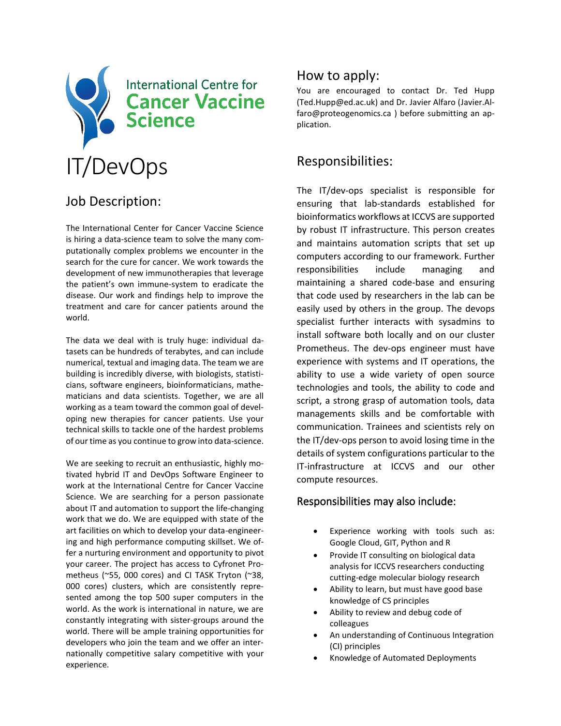

# Job Description:

The International Center for Cancer Vaccine Science is hiring a data-science team to solve the many computationally complex problems we encounter in the search for the cure for cancer. We work towards the development of new immunotherapies that leverage the patient's own immune-system to eradicate the disease. Our work and findings help to improve the treatment and care for cancer patients around the world.

The data we deal with is truly huge: individual datasets can be hundreds of terabytes, and can include numerical, textual and imaging data. The team we are building is incredibly diverse, with biologists, statisticians, software engineers, bioinformaticians, mathematicians and data scientists. Together, we are all working as a team toward the common goal of developing new therapies for cancer patients. Use your technical skills to tackle one of the hardest problems of our time as you continue to grow into data-science.

We are seeking to recruit an enthusiastic, highly motivated hybrid IT and DevOps Software Engineer to work at the International Centre for Cancer Vaccine Science. We are searching for a person passionate about IT and automation to support the life-changing work that we do. We are equipped with state of the art facilities on which to develop your data-engineering and high performance computing skillset. We offer a nurturing environment and opportunity to pivot your career. The project has access to Cyfronet Prometheus (~55, 000 cores) and CI TASK Tryton (~38, 000 cores) clusters, which are consistently represented among the top 500 super computers in the world. As the work is international in nature, we are constantly integrating with sister-groups around the world. There will be ample training opportunities for developers who join the team and we offer an internationally competitive salary competitive with your experience.

### How to apply:

You are encouraged to contact Dr. Ted Hupp (Ted.Hupp@ed.ac.uk) and Dr. Javier Alfaro (Javier.Alfaro@proteogenomics.ca ) before submitting an application.

## Responsibilities:

The IT/dev-ops specialist is responsible for ensuring that lab-standards established for bioinformatics workflows at ICCVS are supported by robust IT infrastructure. This person creates and maintains automation scripts that set up computers according to our framework. Further responsibilities include managing and maintaining a shared code-base and ensuring that code used by researchers in the lab can be easily used by others in the group. The devops specialist further interacts with sysadmins to install software both locally and on our cluster Prometheus. The dev-ops engineer must have experience with systems and IT operations, the ability to use a wide variety of open source technologies and tools, the ability to code and script, a strong grasp of automation tools, data managements skills and be comfortable with communication. Trainees and scientists rely on the IT/dev-ops person to avoid losing time in the details of system configurations particular to the IT-infrastructure at ICCVS and our other compute resources.

#### Responsibilities may also include:

- Experience working with tools such as: Google Cloud, GIT, Python and R
- Provide IT consulting on biological data analysis for ICCVS researchers conducting cutting-edge molecular biology research
- Ability to learn, but must have good base knowledge of CS principles
- Ability to review and debug code of colleagues
- An understanding of Continuous Integration (CI) principles
- Knowledge of Automated Deployments